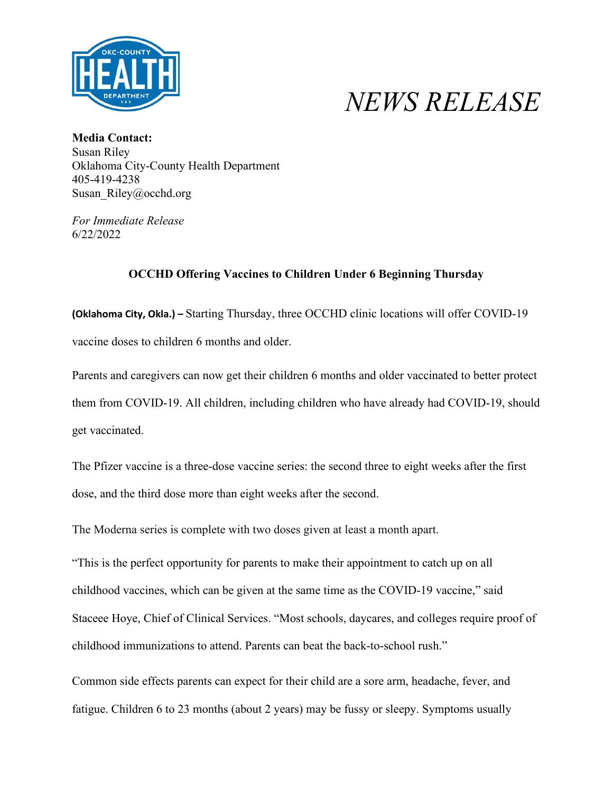

## *NEWS RELEASE*

**Media Contact:** Susan Riley Oklahoma City-County Health Department 405-419-4238 Susan\_Riley@occhd.org

*For Immediate Release* 6/22/2022

## **OCCHD Offering Vaccines to Children Under 6 Beginning Thursday**

**(Oklahoma City, Okla.) –** Starting Thursday, three OCCHD clinic locations will offer COVID-19 vaccine doses to children 6 months and older.

Parents and caregivers can now get their children 6 months and older vaccinated to better protect them from COVID-19. All children, including children who have already had COVID-19, should get vaccinated.

The Pfizer vaccine is a three-dose vaccine series: the second three to eight weeks after the first dose, and the third dose more than eight weeks after the second.

The Moderna series is complete with two doses given at least a month apart.

"This is the perfect opportunity for parents to make their appointment to catch up on all childhood vaccines, which can be given at the same time as the COVID-19 vaccine," said Staceee Hoye, Chief of Clinical Services. "Most schools, daycares, and colleges require proof of childhood immunizations to attend. Parents can beat the back-to-school rush."

Common side effects parents can expect for their child are a sore arm, headache, fever, and fatigue. Children 6 to 23 months (about 2 years) may be fussy or sleepy. Symptoms usually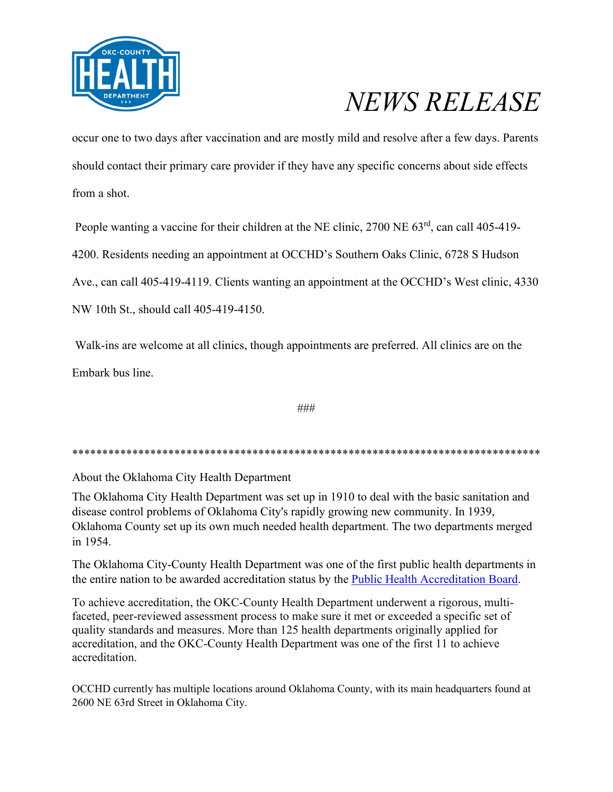

## *NEWS RELEASE*

occur one to two days after vaccination and are mostly mild and resolve after a few days. Parents should contact their primary care provider if they have any specific concerns about side effects from a shot.

People wanting a vaccine for their children at the NE clinic, 2700 NE 63<sup>rd</sup>, can call 405-419-

4200. Residents needing an appointment at OCCHD's Southern Oaks Clinic, 6728 S Hudson

Ave., can call 405-419-4119. Clients wanting an appointment at the OCCHD's West clinic, 4330

NW 10th St., should call 405-419-4150.

Walk-ins are welcome at all clinics, though appointments are preferred. All clinics are on the Embark bus line.

###

\*\*\*\*\*\*\*\*\*\*\*\*\*\*\*\*\*\*\*\*\*\*\*\*\*\*\*\*\*\*\*\*\*\*\*\*\*\*\*\*\*\*\*\*\*\*\*\*\*\*\*\*\*\*\*\*\*\*\*\*\*\*\*\*\*\*\*\*\*\*\*\*\*\*\*\*\*\*

About the Oklahoma City Health Department

The Oklahoma City Health Department was set up in 1910 to deal with the basic sanitation and disease control problems of Oklahoma City's rapidly growing new community. In 1939, Oklahoma County set up its own much needed health department. The two departments merged in 1954.

The Oklahoma City-County Health Department was one of the first public health departments in the entire nation to be awarded accreditation status by the [Public Health Accreditation Board.](http://www.phaboard.org/)

To achieve accreditation, the OKC-County Health Department underwent a rigorous, multifaceted, peer-reviewed assessment process to make sure it met or exceeded a specific set of quality standards and measures. More than 125 health departments originally applied for accreditation, and the OKC-County Health Department was one of the first 11 to achieve accreditation.

OCCHD currently has multiple locations around Oklahoma County, with its main headquarters found at 2600 NE 63rd Street in Oklahoma City.